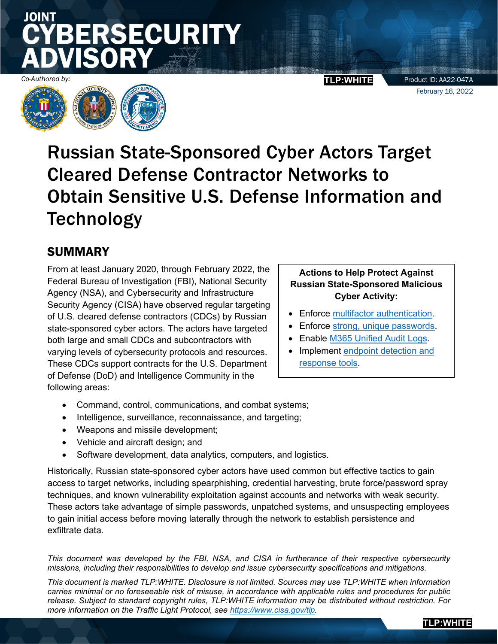# JOINT **SECURITY**

Product ID: AA22-047A February 16, 2022

**TLP:WHITE**



Russian State-Sponsored Cyber Actors Target Cleared Defense Contractor Networks to Obtain Sensitive U.S. Defense Information and **Technology** 

# SUMMARY

From at least January 2020, through February 2022, the Federal Bureau of Investigation (FBI), National Security Agency (NSA), and Cybersecurity and Infrastructure Security Agency (CISA) have observed regular targeting of U.S. cleared defense contractors (CDCs) by Russian state-sponsored cyber actors. The actors have targeted both large and small CDCs and subcontractors with varying levels of cybersecurity protocols and resources. These CDCs support contracts for the U.S. Department of Defense (DoD) and Intelligence Community in the following areas:

### **Actions to Help Protect Against Russian State-Sponsored Malicious Cyber Activity:**

- Enforce [multifactor authentication.](#page-7-0)
- Enforce [strong, unique passwords.](#page-7-1)
- Enable [M365 Unified Audit Logs.](#page-8-0)
- Implement [endpoint detection and](#page-10-0) [response tools.](#page-10-0)
- Command, control, communications, and combat systems;
- Intelligence, surveillance, reconnaissance, and targeting;
- Weapons and missile development;
- Vehicle and aircraft design; and
- Software development, data analytics, computers, and logistics.

Historically, Russian state-sponsored cyber actors have used common but effective tactics to gain access to target networks, including spearphishing, credential harvesting, brute force/password spray techniques, and known vulnerability exploitation against accounts and networks with weak security. These actors take advantage of simple passwords, unpatched systems, and unsuspecting employees to gain initial access before moving laterally through the network to establish persistence and exfiltrate data.

*This document was developed by the FBI, NSA, and CISA in furtherance of their respective cybersecurity missions, including their responsibilities to develop and issue cybersecurity specifications and mitigations.*

*This document is marked TLP:WHITE. Disclosure is not limited. Sources may use TLP:WHITE when information carries minimal or no foreseeable risk of misuse, in accordance with applicable rules and procedures for public release. Subject to standard copyright rules, TLP:WHITE information may be distributed without restriction. For more information on the Traffic Light Protocol, see [https://www.cisa.gov/tlp.](https://www.cisa.gov/tlp)*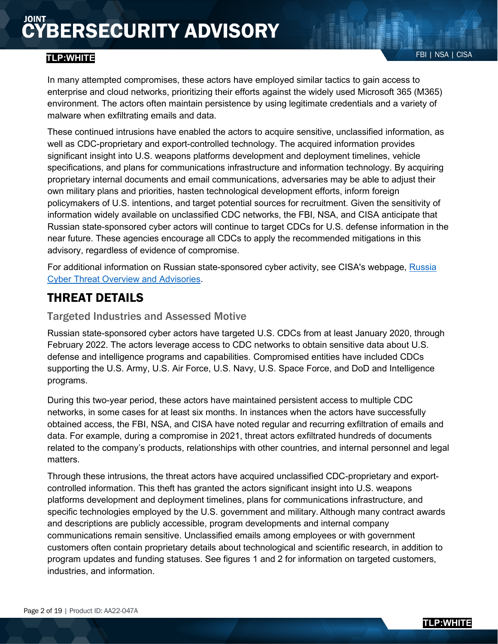## FBI | NSA | CISA **TLP:WHITE**

These continued intrusions have enabled the actors to acquire sensitive, unclassified information, as well as CDC-proprietary and export-controlled technology. The acquired information provides significant insight into U.S. weapons platforms development and deployment timelines, vehicle specifications, and plans for communications infrastructure and information technology. By acquiring proprietary internal documents and email communications, adversaries may be able to adjust their own military plans and priorities, hasten technological development efforts, inform foreign policymakers of U.S. intentions, and target potential sources for recruitment. Given the sensitivity of information widely available on unclassified CDC networks, the FBI, NSA, and CISA anticipate that Russian state-sponsored cyber actors will continue to target CDCs for U.S. defense information in the near future. These agencies encourage all CDCs to apply the recommended mitigations in this advisory, regardless of evidence of compromise.

For additional information on Russian state-sponsored cyber activity, see CISA's webpage, [Russia](https://www.us-cert.cisa.gov/russia)  [Cyber Threat Overview and Advisories.](https://www.us-cert.cisa.gov/russia)

# THREAT DETAILS

### Targeted Industries and Assessed Motive

Russian state-sponsored cyber actors have targeted U.S. CDCs from at least January 2020, through February 2022. The actors leverage access to CDC networks to obtain sensitive data about U.S. defense and intelligence programs and capabilities. Compromised entities have included CDCs supporting the U.S. Army, U.S. Air Force, U.S. Navy, U.S. Space Force, and DoD and Intelligence programs.

During this two-year period, these actors have maintained persistent access to multiple CDC networks, in some cases for at least six months. In instances when the actors have successfully obtained access, the FBI, NSA, and CISA have noted regular and recurring exfiltration of emails and data. For example, during a compromise in 2021, threat actors exfiltrated hundreds of documents related to the company's products, relationships with other countries, and internal personnel and legal matters.

Through these intrusions, the threat actors have acquired unclassified CDC-proprietary and exportcontrolled information. This theft has granted the actors significant insight into U.S. weapons platforms development and deployment timelines, plans for communications infrastructure, and specific technologies employed by the U.S. government and military. Although many contract awards and descriptions are publicly accessible, program developments and internal company communications remain sensitive. Unclassified emails among employees or with government customers often contain proprietary details about technological and scientific research, in addition to program updates and funding statuses. See figures 1 and 2 for information on targeted customers, industries, and information.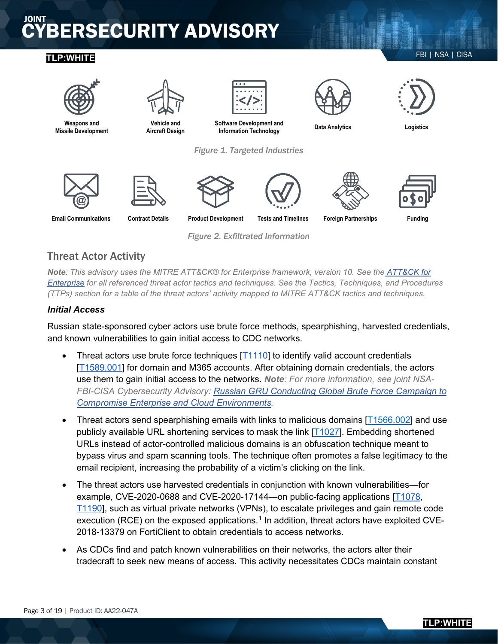# FBI | NSA | CISA **TLP:WHITE**



*Figure 2. Exfiltrated Information*

# Threat Actor Activity

*Note: This advisory uses the MITRE ATT&CK® for Enterprise framework, version 10. See the [ATT&CK for](https://attack.mitre.org/versions/v10/techniques/enterprise/)  [Enterprise](https://attack.mitre.org/versions/v10/techniques/enterprise/) for all referenced threat actor tactics and techniques. See the Tactics, Techniques, and Procedures (TTPs) section for a table of the threat actors' activity mapped to MITRE ATT&CK tactics and techniques.* 

#### *Initial Access*

Russian state-sponsored cyber actors use brute force methods, spearphishing, harvested credentials, and known vulnerabilities to gain initial access to CDC networks.

- Threat actors use brute force techniques  $[T1110]$  to identify valid account credentials [\[T1589.001\]](https://attack.mitre.org/versions/v10/techniques/T1589/001/) for domain and M365 accounts. After obtaining domain credentials, the actors use them to gain initial access to the networks. *Note: For more information, see joint NSA-FBI-CISA Cybersecurity Advisory: [Russian GRU Conducting Global Brute Force Campaign to](https://media.defense.gov/2021/Jul/01/2002753896/-1/-1/1/CSA_GRU_GLOBAL_BRUTE_FORCE_CAMPAIGN_UOO158036-21.PDF) [Compromise Enterprise and Cloud Environments.](https://media.defense.gov/2021/Jul/01/2002753896/-1/-1/1/CSA_GRU_GLOBAL_BRUTE_FORCE_CAMPAIGN_UOO158036-21.PDF)*
- Threat actors send spearphishing emails with links to malicious domains [\[T1566.002\]](https://attack.mitre.org/versions/v10/techniques/T1566/002) and use publicly available URL shortening services to mask the link [\[T1027\]](https://attack.mitre.org/versions/v10/techniques/T1027). Embedding shortened URLs instead of actor-controlled malicious domains is an obfuscation technique meant to bypass virus and spam scanning tools. The technique often promotes a false legitimacy to the email recipient, increasing the probability of a victim's clicking on the link.
- The threat actors use harvested credentials in conjunction with known vulnerabilities—for example, CVE-2020-0688 and CVE-2020-17144—on public-facing applications [\[T1078,](https://attack.mitre.org/versions/v10/techniques/T1078/) [T1190\]](https://attack.mitre.org/versions/v10/techniques/T1190/), such as virtual private networks (VPNs), to escalate privileges and gain remote code execution (RCE) on the exposed applications.<sup>[1](#page-18-0)</sup> In addition, threat actors have exploited CVE-2018-13379 on FortiClient to obtain credentials to access networks.
- As CDCs find and patch known vulnerabilities on their networks, the actors alter their tradecraft to seek new means of access. This activity necessitates CDCs maintain constant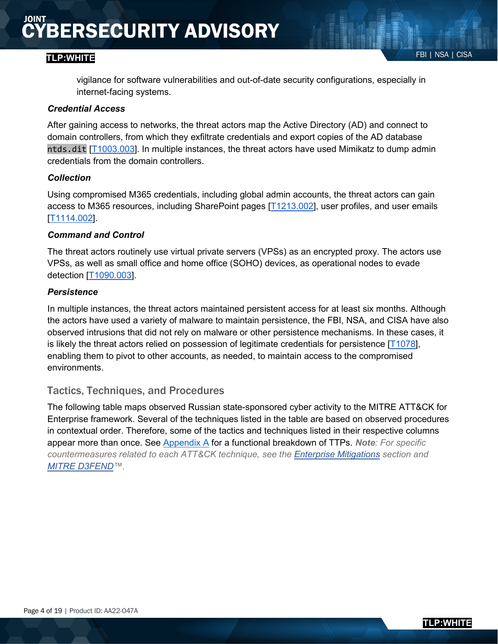### FBI | NSA | CISA **TLP:WHITE**

vigilance for software vulnerabilities and out-of-date security configurations, especially in internet-facing systems.

#### *Credential Access*

After gaining access to networks, the threat actors map the Active Directory (AD) and connect to domain controllers, from which they exfiltrate credentials and export copies of the AD database ntds.dit [\[T1003.003\]](https://attack.mitre.org/versions/v10/techniques/T1003/003/). In multiple instances, the threat actors have used Mimikatz to dump admin credentials from the domain controllers.

#### *Collection*

Using compromised M365 credentials, including global admin accounts, the threat actors can gain access to M365 resources, including SharePoint pages [\[T1213.002\]](https://attack.mitre.org/versions/v10/techniques/T1213/002/), user profiles, and user emails [\[T1114.002\]](https://attack.mitre.org/versions/v10/techniques/T1114/002/).

#### *Command and Control*

The threat actors routinely use virtual private servers (VPSs) as an encrypted proxy. The actors use VPSs, as well as small office and home office (SOHO) devices, as operational nodes to evade detection [\[T1090.003\]](https://attack.mitre.org/versions/v10/techniques/T1090/003/).

#### *Persistence*

In multiple instances, the threat actors maintained persistent access for at least six months. Although the actors have used a variety of malware to maintain persistence, the FBI, NSA, and CISA have also observed intrusions that did not rely on malware or other persistence mechanisms. In these cases, it is likely the threat actors relied on possession of legitimate credentials for persistence  $[T1078]$ , enabling them to pivot to other accounts, as needed, to maintain access to the compromised environments.

#### Tactics, Techniques, and Procedures

The following table maps observed Russian state-sponsored cyber activity to the MITRE ATT&CK for Enterprise framework. Several of the techniques listed in the table are based on observed procedures in contextual order. Therefore, some of the tactics and techniques listed in their respective columns appear more than once. See [Appendix A](#page-14-0) for a functional breakdown of TTPs. *Note: For specific countermeasures related to each ATT&CK technique, see the [Enterprise Mitigations](https://attack.mitre.org/mitigations/) section and [MITRE D3FEND™](https://d3fend.mitre.org/).*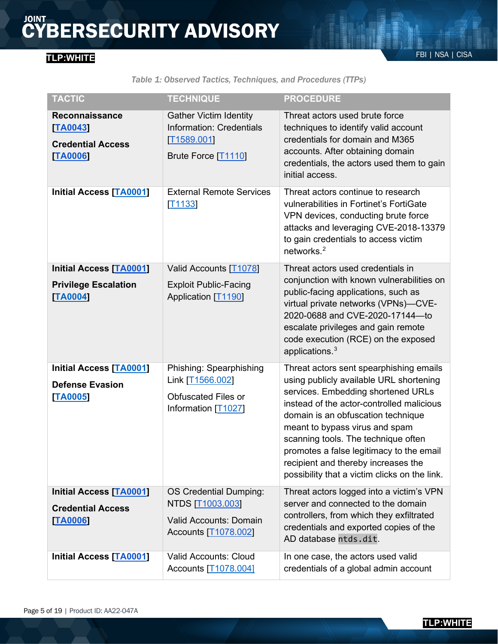# FBI | NSA | CISA **TLP:WHITE**

*Table 1: Observed Tactics, Techniques, and Procedures (TTPs)*

| <b>TACTIC</b>                                                                   | <b>TECHNIQUE</b>                                                                                     | <b>PROCEDURE</b>                                                                                                                                                                                                                                                                                                                                                                                                         |
|---------------------------------------------------------------------------------|------------------------------------------------------------------------------------------------------|--------------------------------------------------------------------------------------------------------------------------------------------------------------------------------------------------------------------------------------------------------------------------------------------------------------------------------------------------------------------------------------------------------------------------|
| <b>Reconnaissance</b><br>TA0043<br><b>Credential Access</b><br><b>TA0006</b>    | <b>Gather Victim Identity</b><br><b>Information: Credentials</b><br>T1589.001<br>Brute Force [T1110] | Threat actors used brute force<br>techniques to identify valid account<br>credentials for domain and M365<br>accounts. After obtaining domain<br>credentials, the actors used them to gain<br>initial access.                                                                                                                                                                                                            |
| <b>Initial Access [TA0001]</b>                                                  | <b>External Remote Services</b><br>[T1133]                                                           | Threat actors continue to research<br>vulnerabilities in Fortinet's FortiGate<br>VPN devices, conducting brute force<br>attacks and leveraging CVE-2018-13379<br>to gain credentials to access victim<br>networks. <sup>2</sup>                                                                                                                                                                                          |
| <b>Initial Access [TA0001]</b><br><b>Privilege Escalation</b><br><b>TA0004]</b> | Valid Accounts [T1078]<br><b>Exploit Public-Facing</b><br>Application [T1190]                        | Threat actors used credentials in<br>conjunction with known vulnerabilities on<br>public-facing applications, such as<br>virtual private networks (VPNs)-CVE-<br>2020-0688 and CVE-2020-17144-to<br>escalate privileges and gain remote<br>code execution (RCE) on the exposed<br>applications. <sup>3</sup>                                                                                                             |
| <b>Initial Access [TA0001]</b><br><b>Defense Evasion</b><br>[TA0005]            | Phishing: Spearphishing<br>Link [T1566.002]<br><b>Obfuscated Files or</b><br>Information [T1027]     | Threat actors sent spearphishing emails<br>using publicly available URL shortening<br>services. Embedding shortened URLs<br>instead of the actor-controlled malicious<br>domain is an obfuscation technique<br>meant to bypass virus and spam<br>scanning tools. The technique often<br>promotes a false legitimacy to the email<br>recipient and thereby increases the<br>possibility that a victim clicks on the link. |
| <b>Initial Access [TA0001]</b><br><b>Credential Access</b><br><b>TA0006</b>     | OS Credential Dumping:<br>NTDS [T1003.003]<br><b>Valid Accounts: Domain</b><br>Accounts [T1078.002]  | Threat actors logged into a victim's VPN<br>server and connected to the domain<br>controllers, from which they exfiltrated<br>credentials and exported copies of the<br>AD database ntds.dit.                                                                                                                                                                                                                            |
| <b>Initial Access [TA0001]</b>                                                  | <b>Valid Accounts: Cloud</b><br>Accounts [T1078.004]                                                 | In one case, the actors used valid<br>credentials of a global admin account                                                                                                                                                                                                                                                                                                                                              |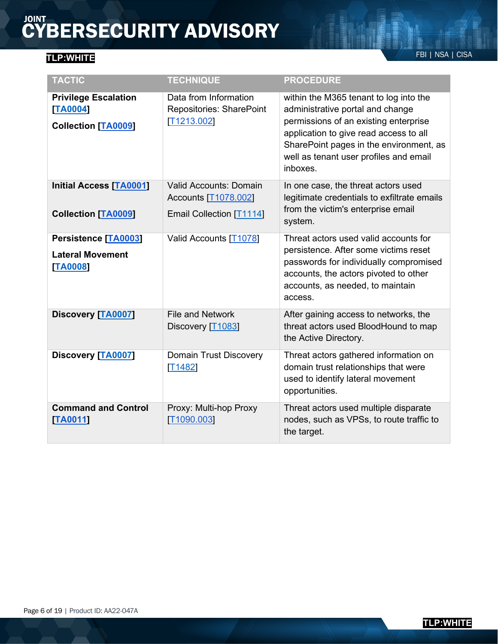# FBI | NSA | CISA **TLP:WHITE**

| <b>TACTIC</b>                                                         | <b>TECHNIQUE</b>                                                                  | <b>PROCEDURE</b>                                                                                                                                                                                                                                               |
|-----------------------------------------------------------------------|-----------------------------------------------------------------------------------|----------------------------------------------------------------------------------------------------------------------------------------------------------------------------------------------------------------------------------------------------------------|
| <b>Privilege Escalation</b><br>[TA0004]<br><b>Collection [TA0009]</b> | Data from Information<br>Repositories: SharePoint<br>T1213.002                    | within the M365 tenant to log into the<br>administrative portal and change<br>permissions of an existing enterprise<br>application to give read access to all<br>SharePoint pages in the environment, as<br>well as tenant user profiles and email<br>inboxes. |
| <b>Initial Access [TA0001]</b><br><b>Collection [TA0009]</b>          | <b>Valid Accounts: Domain</b><br>Accounts [T1078.002]<br>Email Collection [T1114] | In one case, the threat actors used<br>legitimate credentials to exfiltrate emails<br>from the victim's enterprise email<br>system.                                                                                                                            |
| Persistence [TA0003]<br><b>Lateral Movement</b><br><b>TA0008</b>      | Valid Accounts [T1078]                                                            | Threat actors used valid accounts for<br>persistence. After some victims reset<br>passwords for individually compromised<br>accounts, the actors pivoted to other<br>accounts, as needed, to maintain<br>access.                                               |
| <b>Discovery [TA0007]</b>                                             | <b>File and Network</b><br>Discovery [T1083]                                      | After gaining access to networks, the<br>threat actors used BloodHound to map<br>the Active Directory.                                                                                                                                                         |
| <b>Discovery [TA0007]</b>                                             | <b>Domain Trust Discovery</b><br>[T1482]                                          | Threat actors gathered information on<br>domain trust relationships that were<br>used to identify lateral movement<br>opportunities.                                                                                                                           |
| <b>Command and Control</b><br>[TA0011]                                | Proxy: Multi-hop Proxy<br>[T1090.003]                                             | Threat actors used multiple disparate<br>nodes, such as VPSs, to route traffic to<br>the target.                                                                                                                                                               |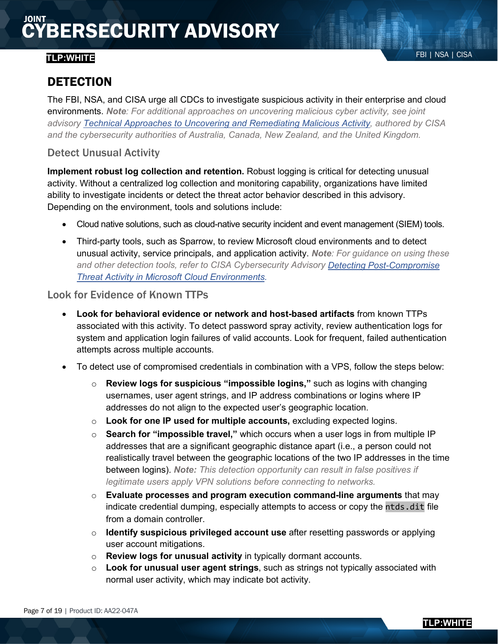# FBI | NSA | CISA **TLP:WHITE**

The FBI, NSA, and CISA urge all CDCs to investigate suspicious activity in their enterprise and cloud environments. *Note: For additional approaches on uncovering malicious cyber activity, see joint advisory [Technical Approaches to Uncovering and Remediating Malicious Activity,](https://us-cert.cisa.gov/sites/default/files/publications/AA20-245A-Joint_CSA-Technical_Approaches_to_Uncovering_Malicious_Activity_508.pdf) authored by CISA and the cybersecurity authorities of Australia, Canada, New Zealand, and the United Kingdom.*

### Detect Unusual Activity

**Implement robust log collection and retention.** Robust logging is critical for detecting unusual activity. Without a centralized log collection and monitoring capability, organizations have limited ability to investigate incidents or detect the threat actor behavior described in this advisory. Depending on the environment, tools and solutions include:

- Cloud native solutions, such as cloud-native security incident and event management (SIEM) tools.
- Third-party tools, such as Sparrow, to review Microsoft cloud environments and to detect unusual activity, service principals, and application activity. *Note: For guidance on using these and other detection tools, refer to CISA Cybersecurity Advisory [Detecting Post-Compromise](https://us-cert.cisa.gov/ncas/alerts/aa21-008a)  [Threat Activity in Microsoft Cloud Environments.](https://us-cert.cisa.gov/ncas/alerts/aa21-008a)*

#### Look for Evidence of Known TTPs

- **Look for behavioral evidence or network and host-based artifacts** from known TTPs associated with this activity. To detect password spray activity, review authentication logs for system and application login failures of valid accounts. Look for frequent, failed authentication attempts across multiple accounts.
- To detect use of compromised credentials in combination with a VPS, follow the steps below:
	- o **Review logs for suspicious "impossible logins,"** such as logins with changing usernames, user agent strings, and IP address combinations or logins where IP addresses do not align to the expected user's geographic location.
	- o **Look for one IP used for multiple accounts,** excluding expected logins.
	- o **Search for "impossible travel,"** which occurs when a user logs in from multiple IP addresses that are a significant geographic distance apart (i.e., a person could not realistically travel between the geographic locations of the two IP addresses in the time between logins). *Note: This detection opportunity can result in false positives if legitimate users apply VPN solutions before connecting to networks.*
	- o **Evaluate processes and program execution command-line arguments** that may indicate credential dumping, especially attempts to access or copy the ntds.dit file from a domain controller.
	- o **Identify suspicious privileged account use** after resetting passwords or applying user account mitigations.
	- o **Review logs for unusual activity** in typically dormant accounts.
	- o **Look for unusual user agent strings**, such as strings not typically associated with normal user activity, which may indicate bot activity.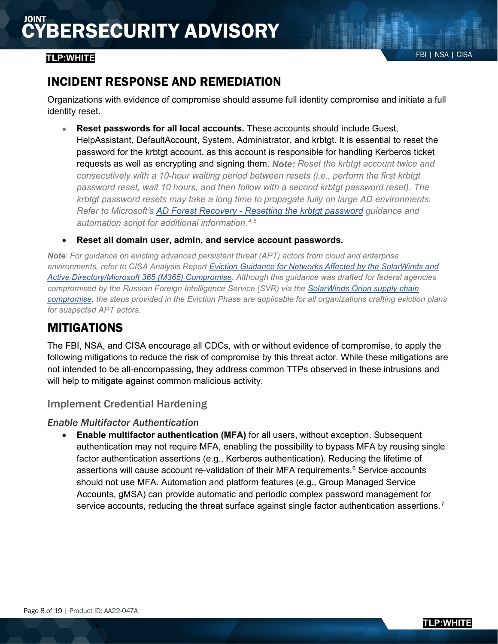# FBI | NSA | CISA **TLP:WHITE**

# INCIDENT RESPONSE AND REMEDIATION

Organizations with evidence of compromise should assume full identity compromise and initiate a full identity reset.

- **Reset passwords for all local accounts.** These accounts should include Guest, HelpAssistant, DefaultAccount, System, Administrator, and krbtgt. It is essential to reset the password for the krbtgt account, as this account is responsible for handling Kerberos ticket requests as well as encrypting and signing them. *Note: Reset the krbtgt account twice and consecutively with a 10-hour waiting period between resets (i.e., perform the first krbtgt password reset, wait 10 hours, and then follow with a second krbtgt password reset). The krbtgt password resets may take a long time to propagate fully on large AD environments. Refer to Microsoft's [AD Forest Recovery - Resetting the krbtgt password](https://docs.microsoft.com/en-us/windows-server/identity/ad-ds/manage/ad-forest-recovery-resetting-the-krbtgt-password) guidance and automation script for additional information. [4](#page-18-3),[5](#page-18-4)*
- **Reset all domain user, admin, and service account passwords.**

*Note: For guidance on evicting advanced persistent threat (APT) actors from cloud and enterprise environments, refer to CISA Analysis Report [Eviction Guidance for Networks Affected by the SolarWinds and](https://us-cert.cisa.gov/ncas/analysis-reports/ar21-134a)  [Active Directory/Microsoft 365 \(M365\) Compromise.](https://us-cert.cisa.gov/ncas/analysis-reports/ar21-134a) Although this guidance was drafted for federal agencies compromised by the Russian Foreign Intelligence Service (SVR) via the [SolarWinds Orion supply chain](https://us-cert.cisa.gov/remediating-apt-compromised-networks)  [compromise,](https://us-cert.cisa.gov/remediating-apt-compromised-networks) the steps provided in the Eviction Phase are applicable for all organizations crafting eviction plans for suspected APT actors.*

# MITIGATIONS

The FBI, NSA, and CISA encourage all CDCs, with or without evidence of compromise, to apply the following mitigations to reduce the risk of compromise by this threat actor. While these mitigations are not intended to be all-encompassing, they address common TTPs observed in these intrusions and will help to mitigate against common malicious activity.

### Implement Credential Hardening

#### <span id="page-7-0"></span>*Enable Multifactor Authentication*

<span id="page-7-1"></span>• **Enable multifactor authentication (MFA)** for all users, without exception. Subsequent authentication may not require MFA, enabling the possibility to bypass MFA by reusing single factor authentication assertions (e.g., Kerberos authentication). Reducing the lifetime of assertions will cause account re-validation of their MFA requirements.<sup>[6](#page-18-5)</sup> Service accounts should not use MFA. Automation and platform features (e.g., Group Managed Service Accounts, gMSA) can provide automatic and periodic complex password management for service accounts, reducing the threat surface against single factor authentication assertions.<sup>[7](#page-18-6)</sup>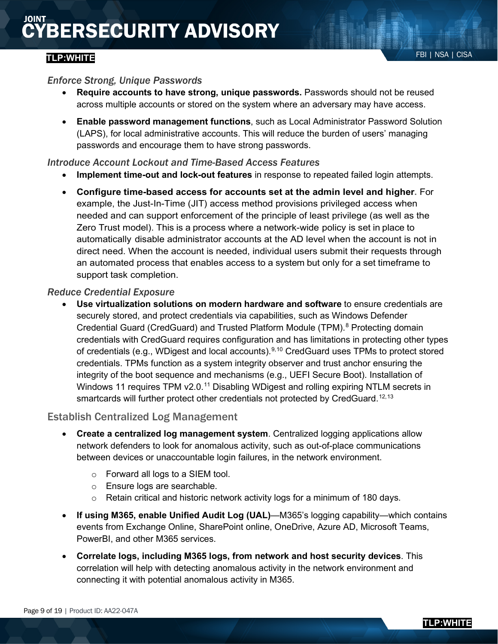### FBI | NSA | CISA **TLP:WHITE**

#### *Enforce Strong, Unique Passwords*

- **Require accounts to have strong, unique passwords.** Passwords should not be reused across multiple accounts or stored on the system where an adversary may have access.
- **Enable password management functions**, such as Local Administrator Password Solution (LAPS), for local administrative accounts. This will reduce the burden of users' managing passwords and encourage them to have strong passwords.

#### *Introduce Account Lockout and Time-Based Access Features*

- **Implement time-out and lock-out features** in response to repeated failed login attempts.
- **Configure time-based access for accounts set at the admin level and higher.** For example, the Just-In-Time (JIT) access method provisions privileged access when needed and can support enforcement of the principle of least privilege (as well as the Zero Trust model). This is a process where a network-wide policy is set in place to automatically disable administrator accounts at the AD level when the account is not in direct need. When the account is needed, individual users submit their requests through an automated process that enables access to a system but only for a set timeframe to support task completion.

#### *Reduce Credential Exposure*

• **Use virtualization solutions on modern hardware and software** to ensure credentials are securely stored, and protect credentials via capabilities, such as Windows Defender Credential Guard (CredGuard) and Trusted Platform Module (TPM).<sup>[8](#page-18-7)</sup> Protecting domain credentials with CredGuard requires configuration and has limitations in protecting other types of credentials (e.g., WDigest and local accounts).<sup>[9,](#page-18-8)[10](#page-18-9)</sup> CredGuard uses TPMs to protect stored credentials. TPMs function as a system integrity observer and trust anchor ensuring the integrity of the boot sequence and mechanisms (e.g., UEFI Secure Boot). Installation of Windows [11](#page-18-10) requires TPM v2.0.<sup>11</sup> Disabling WDigest and rolling expiring NTLM secrets in smartcards will further protect other credentials not protected by CredGuard.<sup>[12,](#page-18-11)[13](#page-18-12)</sup>

#### Establish Centralized Log Management

- <span id="page-8-0"></span>• **Create a centralized log management system**. Centralized logging applications allow network defenders to look for anomalous activity, such as out-of-place communications between devices or unaccountable login failures, in the network environment.
	- o Forward all logs to a SIEM tool.
	- o Ensure logs are searchable.
	- $\circ$  Retain critical and historic network activity logs for a minimum of 180 days.
- **If using M365, enable Unified Audit Log (UAL)**—M365's logging capability—which contains events from Exchange Online, SharePoint online, OneDrive, Azure AD, Microsoft Teams, PowerBI, and other M365 services.
- **Correlate logs, including M365 logs, from network and host security devices**. This correlation will help with detecting anomalous activity in the network environment and connecting it with potential anomalous activity in M365.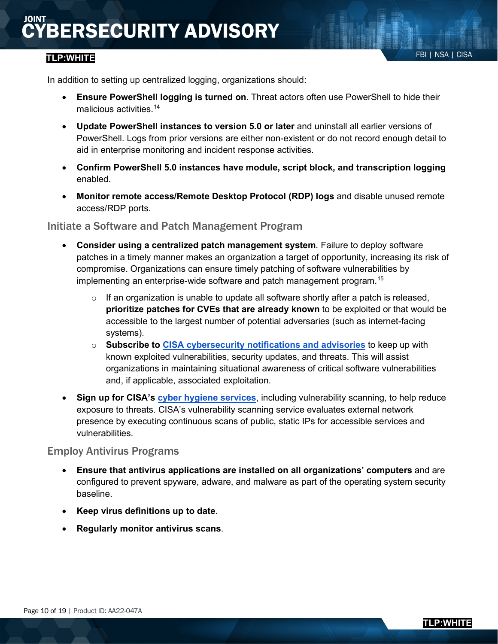### FBI | NSA | CISA **TLP:WHITE**

In addition to setting up centralized logging, organizations should:

- **Ensure PowerShell logging is turned on**. Threat actors often use PowerShell to hide their malicious activities.<sup>[14](#page-18-13)</sup>
- **Update PowerShell instances to version 5.0 or later** and uninstall all earlier versions of PowerShell. Logs from prior versions are either non-existent or do not record enough detail to aid in enterprise monitoring and incident response activities.
- **Confirm PowerShell 5.0 instances have module, script block, and transcription logging**  enabled.
- **Monitor remote access/Remote Desktop Protocol (RDP) logs** and disable unused remote access/RDP ports.

#### Initiate a Software and Patch Management Program

- **Consider using a centralized patch management system**. Failure to deploy software patches in a timely manner makes an organization a target of opportunity, increasing its risk of compromise. Organizations can ensure timely patching of software vulnerabilities by implementing an enterprise-wide software and patch management program.[15](#page-18-14)
	- $\circ$  If an organization is unable to update all software shortly after a patch is released, **prioritize patches for CVEs that are already known** to be exploited or that would be accessible to the largest number of potential adversaries (such as internet-facing systems).
	- o **Subscribe to [CISA cybersecurity notifications and advisories](https://us-cert.cisa.gov/ncas)** to keep up with known exploited vulnerabilities, security updates, and threats. This will assist organizations in maintaining situational awareness of critical software vulnerabilities and, if applicable, associated exploitation.
- **Sign up for CISA's [cyber hygiene services](https://www.cisa.gov/cyber-hygiene-services)**, including vulnerability scanning, to help reduce exposure to threats. CISA's vulnerability scanning service evaluates external network presence by executing continuous scans of public, static IPs for accessible services and vulnerabilities.

#### Employ Antivirus Programs

- **Ensure that antivirus applications are installed on all organizations' computers** and are configured to prevent spyware, adware, and malware as part of the operating system security baseline.
- **Keep virus definitions up to date**.
- **Regularly monitor antivirus scans**.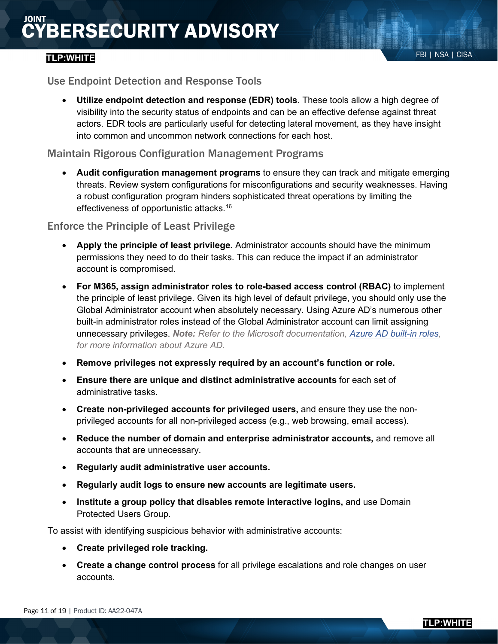## FBI | NSA | CISA **TLP:WHITE**

### <span id="page-10-0"></span>Use Endpoint Detection and Response Tools

• **Utilize endpoint detection and response (EDR) tools**. These tools allow a high degree of visibility into the security status of endpoints and can be an effective defense against threat actors. EDR tools are particularly useful for detecting lateral movement, as they have insight into common and uncommon network connections for each host.

### Maintain Rigorous Configuration Management Programs

• **Audit configuration management programs** to ensure they can track and mitigate emerging threats. Review system configurations for misconfigurations and security weaknesses. Having a robust configuration program hinders sophisticated threat operations by limiting the effectiveness of opportunistic attacks.[16](#page-18-15)

#### Enforce the Principle of Least Privilege

- **Apply the principle of least privilege.** Administrator accounts should have the minimum permissions they need to do their tasks. This can reduce the impact if an administrator account is compromised.
- **For M365, assign administrator roles to role-based access control (RBAC)** to implement the principle of least privilege. Given its high level of default privilege, you should only use the Global Administrator account when absolutely necessary. Using Azure AD's numerous other built-in administrator roles instead of the Global Administrator account can limit assigning unnecessary privileges. *Note: Refer to the Microsoft documentation, [Azure AD built-in roles,](https://docs.microsoft.com/en-us/azure/active-directory/users-groups-roles/directory-assign-admin-roles) for more information about Azure AD.*
- **Remove privileges not expressly required by an account's function or role.**
- **Ensure there are unique and distinct administrative accounts** for each set of administrative tasks.
- **Create non-privileged accounts for privileged users,** and ensure they use the nonprivileged accounts for all non-privileged access (e.g., web browsing, email access).
- **Reduce the number of domain and enterprise administrator accounts,** and remove all accounts that are unnecessary.
- **Regularly audit administrative user accounts.**
- **Regularly audit logs to ensure new accounts are legitimate users.**
- **Institute a group policy that disables remote interactive logins,** and use Domain Protected Users Group.

To assist with identifying suspicious behavior with administrative accounts:

- **Create privileged role tracking.**
- **Create a change control process** for all privilege escalations and role changes on user accounts.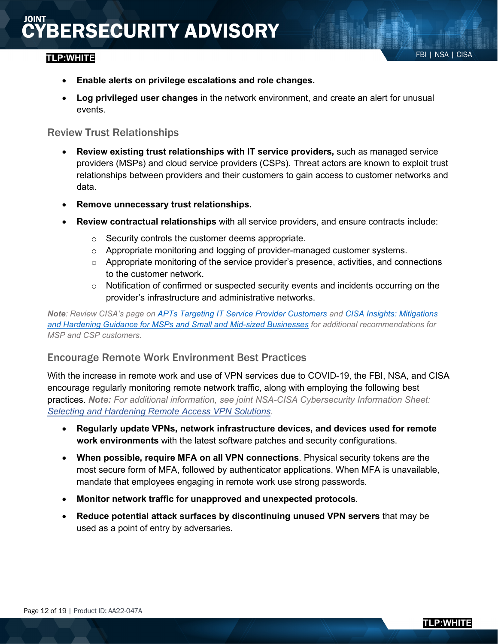### FBI | NSA | CISA **TLP:WHITE**

- **Enable alerts on privilege escalations and role changes.**
- **Log privileged user changes** in the network environment, and create an alert for unusual events.

#### Review Trust Relationships

- **Review existing trust relationships with IT service providers,** such as managed service providers (MSPs) and cloud service providers (CSPs). Threat actors are known to exploit trust relationships between providers and their customers to gain access to customer networks and data.
- **Remove unnecessary trust relationships.**
- **Review contractual relationships** with all service providers, and ensure contracts include:
	- o Security controls the customer deems appropriate.
	- o Appropriate monitoring and logging of provider-managed customer systems.
	- $\circ$  Appropriate monitoring of the service provider's presence, activities, and connections to the customer network.
	- o Notification of confirmed or suspected security events and incidents occurring on the provider's infrastructure and administrative networks.

*Note: Review CISA's page on [APTs Targeting IT Service Provider Customers](https://us-cert.cisa.gov/APTs-Targeting-IT-Service-Provider-Customers) and [CISA Insights: Mitigations](https://www.cisa.gov/sites/default/files/publications/CISA%20Insights_Guidance-for-MSPs-and-Small-and-Mid-sized-Businesses_S508C.pdf)  [and Hardening Guidance for MSPs and Small and Mid-sized Businesses](https://www.cisa.gov/sites/default/files/publications/CISA%20Insights_Guidance-for-MSPs-and-Small-and-Mid-sized-Businesses_S508C.pdf) for additional recommendations for MSP and CSP customers.*

### Encourage Remote Work Environment Best Practices

With the increase in remote work and use of VPN services due to COVID-19, the FBI, NSA, and CISA encourage regularly monitoring remote network traffic, along with employing the following best practices. *Note: For additional information, see joint NSA-CISA Cybersecurity Information Sheet: [Selecting and Hardening Remote Access VPN Solutions.](https://media.defense.gov/2021/Sep/28/2002863184/-1/-1/0/CSI_SELECTING-HARDENING-REMOTE-ACCESS-VPNS-20210928.PDF)*

- **Regularly update VPNs, network infrastructure devices, and devices used for remote work environments** with the latest software patches and security configurations.
- **When possible, require MFA on all VPN connections**. Physical security tokens are the most secure form of MFA, followed by authenticator applications. When MFA is unavailable, mandate that employees engaging in remote work use strong passwords.
- **Monitor network traffic for unapproved and unexpected protocols**.
- **Reduce potential attack surfaces by discontinuing unused VPN servers** that may be used as a point of entry by adversaries.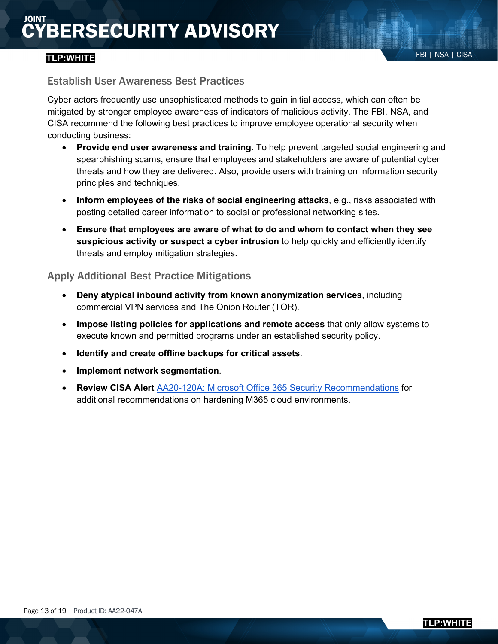## FBI | NSA | CISA **TLP:WHITE**

### Establish User Awareness Best Practices

Cyber actors frequently use unsophisticated methods to gain initial access, which can often be mitigated by stronger employee awareness of indicators of malicious activity. The FBI, NSA, and CISA recommend the following best practices to improve employee operational security when conducting business:

- **Provide end user awareness and training**. To help prevent targeted social engineering and spearphishing scams, ensure that employees and stakeholders are aware of potential cyber threats and how they are delivered. Also, provide users with training on information security principles and techniques.
- **Inform employees of the risks of social engineering attacks**, e.g., risks associated with posting detailed career information to social or professional networking sites.
- **Ensure that employees are aware of what to do and whom to contact when they see suspicious activity or suspect a cyber intrusion** to help quickly and efficiently identify threats and employ mitigation strategies.

### Apply Additional Best Practice Mitigations

- **Deny atypical inbound activity from known anonymization services**, including commercial VPN services and The Onion Router (TOR).
- **Impose listing policies for applications and remote access** that only allow systems to execute known and permitted programs under an established security policy.
- **Identify and create offline backups for critical assets**.
- **Implement network segmentation**.
- **Review CISA Alert** [AA20-120A: Microsoft Office 365 Security Recommendations](https://us-cert.cisa.gov/ncas/alerts/aa20-120a) for additional recommendations on hardening M365 cloud environments.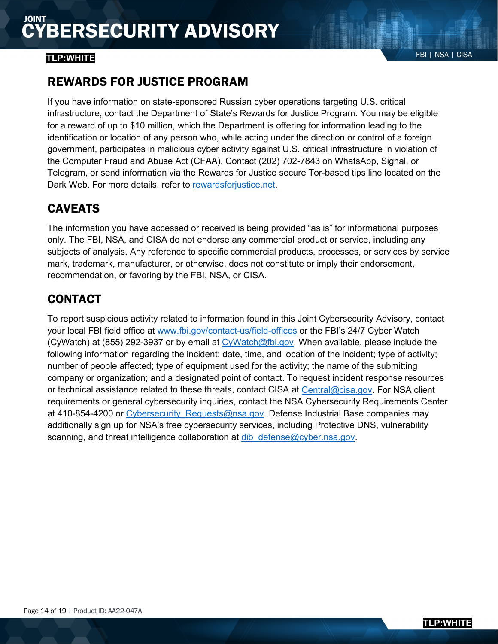# FBI | NSA | CISA **TLP:WHITE**

# REWARDS FOR JUSTICE PROGRAM

If you have information on state-sponsored Russian cyber operations targeting U.S. critical infrastructure, contact the Department of State's Rewards for Justice Program. You may be eligible for a reward of up to \$10 million, which the Department is offering for information leading to the identification or location of any person who, while acting under the direction or control of a foreign government, participates in malicious cyber activity against U.S. critical infrastructure in violation of the Computer Fraud and Abuse Act (CFAA). Contact (202) 702-7843 on WhatsApp, Signal, or Telegram, or send information via the Rewards for Justice secure Tor-based tips line located on the Dark Web. For more details, refer to [rewardsforjustice.net.](https://rewardsforjustice.net/terrorist-rewards/foreign-malicious-cyber-activity-against-u-s-critical-infrastructure/)

# CAVEATS

The information you have accessed or received is being provided "as is" for informational purposes only. The FBI, NSA, and CISA do not endorse any commercial product or service, including any subjects of analysis. Any reference to specific commercial products, processes, or services by service mark, trademark, manufacturer, or otherwise, does not constitute or imply their endorsement, recommendation, or favoring by the FBI, NSA, or CISA.

# CONTACT

To report suspicious activity related to information found in this Joint Cybersecurity Advisory, contact your local FBI field office at [www.fbi.gov/contact-us/field-offices](http://www.fbi.gov/contact-us/field-offices) or the FBI's 24/7 Cyber Watch (CyWatch) at (855) 292-3937 or by email at [CyWatch@fbi.gov.](mailto:CyWatch@fbi.gov) When available, please include the following information regarding the incident: date, time, and location of the incident; type of activity; number of people affected; type of equipment used for the activity; the name of the submitting company or organization; and a designated point of contact. To request incident response resources or technical assistance related to these threats, contact CISA at [Central@cisa.gov.](mailto:central@cisa.gov) For NSA client requirements or general cybersecurity inquiries, contact the NSA Cybersecurity Requirements Center at 410-854-4200 or Cybersecurity Requests@nsa.gov. Defense Industrial Base companies may additionally sign up for NSA's free cybersecurity services, including Protective DNS, vulnerability scanning, and threat intelligence collaboration at dib defense@cyber.nsa.gov.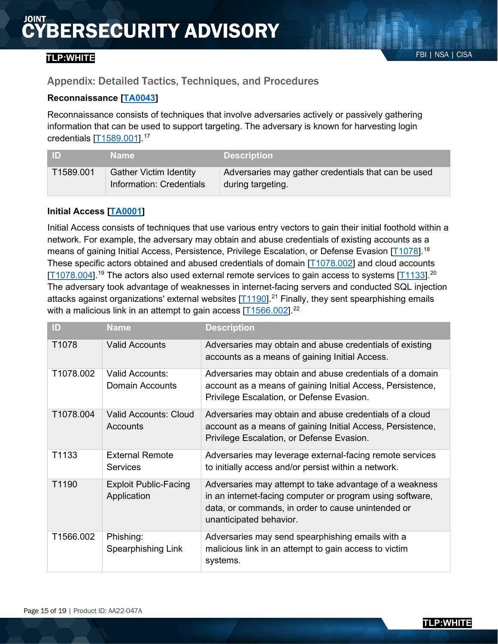### FBI | NSA | CISA **TLP:WHITE**

### <span id="page-14-0"></span>Appendix: Detailed Tactics, Techniques, and Procedures

#### **Reconnaissance [\[TA0043\]](https://attack.mitre.org/tactics/TA0043/)**

Reconnaissance consists of techniques that involve adversaries actively or passively gathering information that can be used to support targeting. The adversary is known for harvesting login credentials [\[T1589.001\]](https://attack.mitre.org/techniques/T1589/001).[17](#page-18-16)

| I ID      | <b>Name</b>                                               | <b>Description</b>                                                       |
|-----------|-----------------------------------------------------------|--------------------------------------------------------------------------|
| T1589.001 | <b>Gather Victim Identity</b><br>Information: Credentials | Adversaries may gather credentials that can be used<br>during targeting. |

#### **Initial Access [\[TA0001\]](https://attack.mitre.org/versions/v10/tactics/TA0001/)**

Initial Access consists of techniques that use various entry vectors to gain their initial foothold within a network. For example, the adversary may obtain and abuse credentials of existing accounts as a means of gaining Initial Access, Persistence, Privilege Escalation, or Defense Evasion [\[T1078\]](https://attack.mitre.org/techniques/T1078).<sup>[18](#page-18-17)</sup> These specific actors obtained and abused credentials of domain [\[T1078.002\]](https://attack.mitre.org/techniques/T1078/002) and cloud accounts  $[T1078.004]$ <sup>[19](#page-18-18)</sup> The actors also used external remote services to gain access to systems  $[T1133]$ <sup>[20](#page-18-19)</sup> The adversary took advantage of weaknesses in internet-facing servers and conducted SQL injection attacks against organizations' external websites  $[T1190]$ <sup>[21](#page-18-20)</sup> Finally, they sent spearphishing emails with a malicious link in an attempt to gain access  $[T1566.002]$ <sup>[22](#page-18-21)</sup>

| $\mathsf{ID}$     | <b>Name</b>                                 | <b>Description</b>                                                                                                                                                                                    |
|-------------------|---------------------------------------------|-------------------------------------------------------------------------------------------------------------------------------------------------------------------------------------------------------|
| T <sub>1078</sub> | <b>Valid Accounts</b>                       | Adversaries may obtain and abuse credentials of existing<br>accounts as a means of gaining Initial Access.                                                                                            |
| T1078.002         | <b>Valid Accounts:</b><br>Domain Accounts   | Adversaries may obtain and abuse credentials of a domain<br>account as a means of gaining Initial Access, Persistence,<br>Privilege Escalation, or Defense Evasion.                                   |
| T1078.004         | Valid Accounts: Cloud<br>Accounts           | Adversaries may obtain and abuse credentials of a cloud<br>account as a means of gaining Initial Access, Persistence,<br>Privilege Escalation, or Defense Evasion.                                    |
| T1133             | <b>External Remote</b><br><b>Services</b>   | Adversaries may leverage external-facing remote services<br>to initially access and/or persist within a network.                                                                                      |
| T1190             | <b>Exploit Public-Facing</b><br>Application | Adversaries may attempt to take advantage of a weakness<br>in an internet-facing computer or program using software,<br>data, or commands, in order to cause unintended or<br>unanticipated behavior. |
| T1566.002         | Phishing:<br>Spearphishing Link             | Adversaries may send spearphishing emails with a<br>malicious link in an attempt to gain access to victim<br>systems.                                                                                 |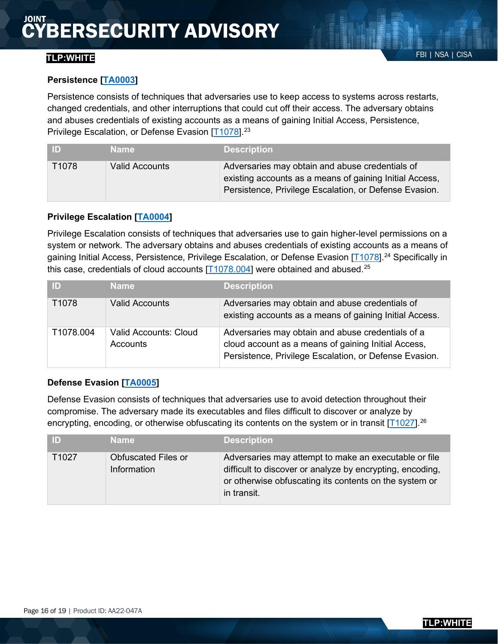### FBI | NSA | CISA **TLP:WHITE**

Persistence consists of techniques that adversaries use to keep access to systems across restarts, changed credentials, and other interruptions that could cut off their access. The adversary obtains and abuses credentials of existing accounts as a means of gaining Initial Access, Persistence, Privilege Escalation, or Defense Evasion [\[T1078\]](https://attack.mitre.org/techniques/T1078).<sup>[23](#page-18-22)</sup>

| ID    | <b>Name</b>           | <b>Description</b>                                                                                                                                                   |
|-------|-----------------------|----------------------------------------------------------------------------------------------------------------------------------------------------------------------|
| T1078 | <b>Valid Accounts</b> | Adversaries may obtain and abuse credentials of<br>existing accounts as a means of gaining Initial Access,<br>Persistence, Privilege Escalation, or Defense Evasion. |

### **Privilege Escalation [\[TA0004\]](https://attack.mitre.org/tactics/TA0004)**

Privilege Escalation consists of techniques that adversaries use to gain higher-level permissions on a system or network. The adversary obtains and abuses credentials of existing accounts as a means of gaining Initial Access, Persistence, Privilege Escalation, or Defense Evasion [\[T1078\]](https://attack.mitre.org/techniques/T1078).<sup>[24](#page-18-23)</sup> Specifically in this case, credentials of cloud accounts  $[T1078.004]$  were obtained and abused.<sup>25</sup>

| / ID)     | <b>Name</b>                              | <b>Description</b>                                                                                                                                                 |
|-----------|------------------------------------------|--------------------------------------------------------------------------------------------------------------------------------------------------------------------|
| T1078     | <b>Valid Accounts</b>                    | Adversaries may obtain and abuse credentials of<br>existing accounts as a means of gaining Initial Access.                                                         |
| T1078.004 | <b>Valid Accounts: Cloud</b><br>Accounts | Adversaries may obtain and abuse credentials of a<br>cloud account as a means of gaining Initial Access,<br>Persistence, Privilege Escalation, or Defense Evasion. |

### **Defense Evasion [\[TA0005\]](https://attack.mitre.org/tactics/TA0005)**

Defense Evasion consists of techniques that adversaries use to avoid detection throughout their compromise. The adversary made its executables and files difficult to discover or analyze by encrypting, encoding, or otherwise obfuscating its contents on the system or in transit  $[T1027]$ <sup>[26](#page-18-25)</sup>

| ID)   | <b>Name</b>                               | <b>Description</b>                                                                                                                                                                          |
|-------|-------------------------------------------|---------------------------------------------------------------------------------------------------------------------------------------------------------------------------------------------|
| T1027 | <b>Obfuscated Files or</b><br>Information | Adversaries may attempt to make an executable or file<br>difficult to discover or analyze by encrypting, encoding,<br>or otherwise obfuscating its contents on the system or<br>in transit. |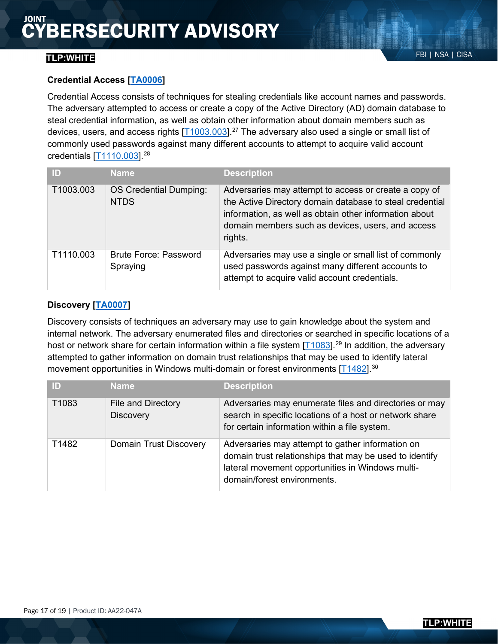### FBI | NSA | CISA **TLP:WHITE**

Credential Access consists of techniques for stealing credentials like account names and passwords. The adversary attempted to access or create a copy of the Active Directory (AD) domain database to steal credential information, as well as obtain other information about domain members such as devices, users, and access rights  $[T1003.003]$ <sup>[27](#page-18-26)</sup> The adversary also used a single or small list of commonly used passwords against many different accounts to attempt to acquire valid account credentials [\[T1110.003\]](https://attack.mitre.org/techniques/T1110/003).[28](#page-18-27)

| ID        | <b>Name</b>                              | <b>Description</b>                                                                                                                                                                                                                          |
|-----------|------------------------------------------|---------------------------------------------------------------------------------------------------------------------------------------------------------------------------------------------------------------------------------------------|
| T1003.003 | OS Credential Dumping:<br><b>NTDS</b>    | Adversaries may attempt to access or create a copy of<br>the Active Directory domain database to steal credential<br>information, as well as obtain other information about<br>domain members such as devices, users, and access<br>rights. |
| T1110.003 | <b>Brute Force: Password</b><br>Spraying | Adversaries may use a single or small list of commonly<br>used passwords against many different accounts to<br>attempt to acquire valid account credentials.                                                                                |

### **Discovery [\[TA0007\]](https://attack.mitre.org/tactics/TA0007)**

Discovery consists of techniques an adversary may use to gain knowledge about the system and internal network. The adversary enumerated files and directories or searched in specific locations of a host or network share for certain information within a file system  $[T1083]$ <sup>[29](#page-18-28)</sup> In addition, the adversary attempted to gather information on domain trust relationships that may be used to identify lateral movement opportunities in Windows multi-domain or forest environments  $[T1482]$ <sup>30</sup>

| ID    | <b>Name</b>                            | <b>Description</b>                                                                                                                                                                             |
|-------|----------------------------------------|------------------------------------------------------------------------------------------------------------------------------------------------------------------------------------------------|
| T1083 | File and Directory<br><b>Discovery</b> | Adversaries may enumerate files and directories or may<br>search in specific locations of a host or network share<br>for certain information within a file system.                             |
| T1482 | Domain Trust Discovery                 | Adversaries may attempt to gather information on<br>domain trust relationships that may be used to identify<br>lateral movement opportunities in Windows multi-<br>domain/forest environments. |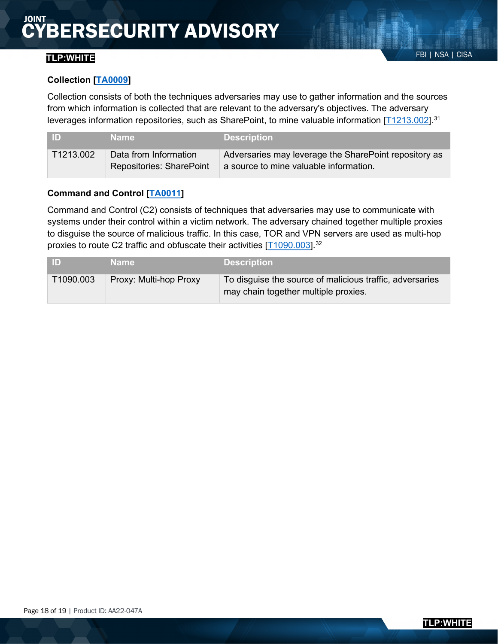# FBI | NSA | CISA **TLP:WHITE**

#### **Collection [\[TA0009\]](https://attack.mitre.org/tactics/TA0009)**

Collection consists of both the techniques adversaries may use to gather information and the sources from which information is collected that are relevant to the adversary's objectives. The adversary leverages information repositories, such as SharePoint, to mine valuable information [\[T1213.002\]](https://attack.mitre.org/techniques/T1213/002).<sup>31</sup>

| I ID      | <b>Name</b>                                              | <b>Description</b>                                                                              |
|-----------|----------------------------------------------------------|-------------------------------------------------------------------------------------------------|
| T1213.002 | Data from Information<br><b>Repositories: SharePoint</b> | Adversaries may leverage the SharePoint repository as<br>a source to mine valuable information. |

#### **Command and Control [\[TA0011\]](https://attack.mitre.org/tactics/TA0011)**

Command and Control (C2) consists of techniques that adversaries may use to communicate with systems under their control within a victim network. The adversary chained together multiple proxies to disguise the source of malicious traffic. In this case, TOR and VPN servers are used as multi-hop proxies to route C2 traffic and obfuscate their activities [\[T1090.003\]](https://attack.mitre.org/techniques/T1090/003).<sup>[32](#page-18-31)</sup>

| I ID      | <b>Name</b>            | <b>Description</b>                                                                               |
|-----------|------------------------|--------------------------------------------------------------------------------------------------|
| T1090.003 | Proxy: Multi-hop Proxy | To disguise the source of malicious traffic, adversaries<br>may chain together multiple proxies. |